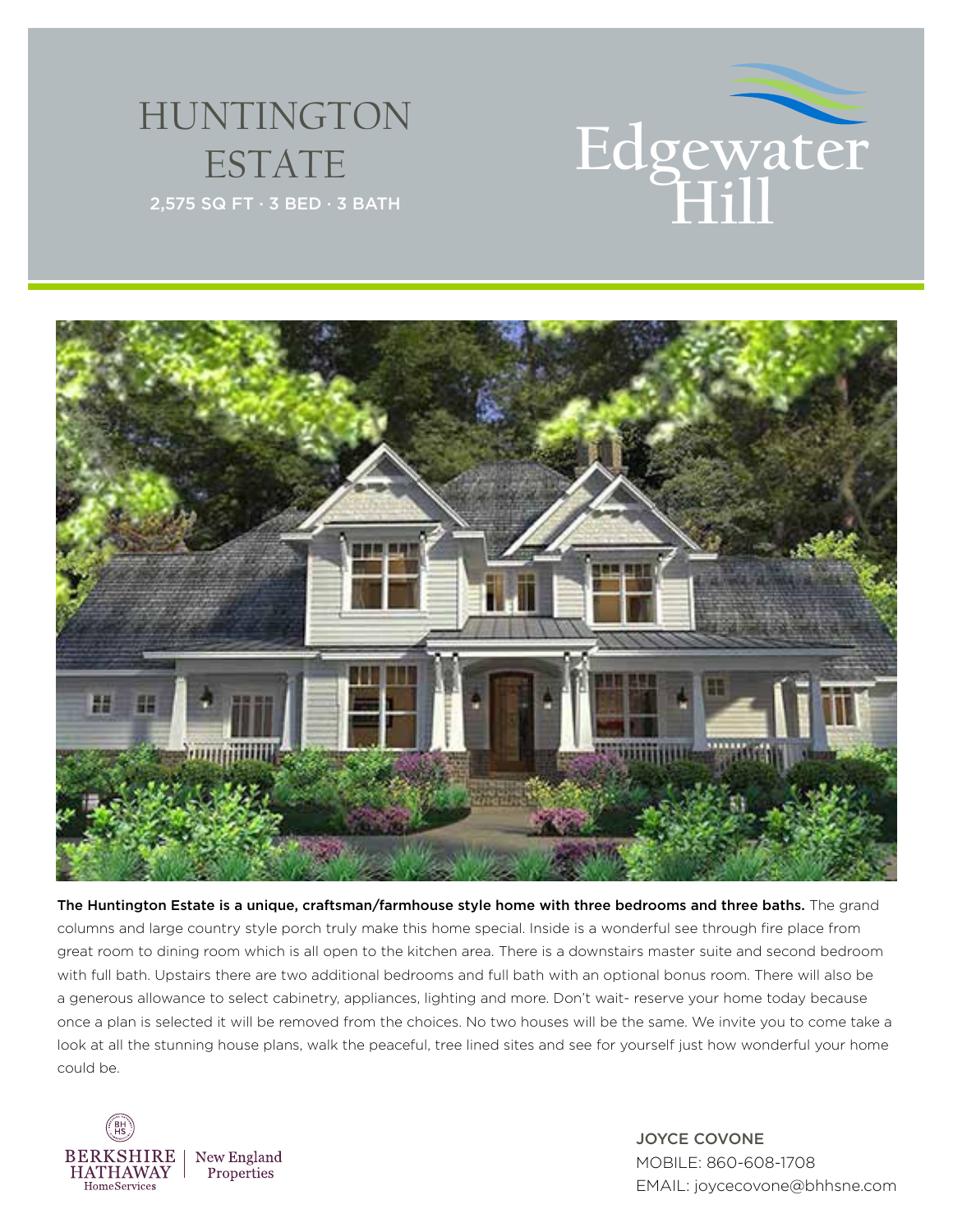

## HUNTINGTON ESTATE



The Huntington Estate is a unique, craftsman/farmhouse style home with three bedrooms and three baths. The grand columns and large country style porch truly make this home special. Inside is a wonderful see through fire place from great room to dining room which is all open to the kitchen area. There is a downstairs master suite and second bedroom with full bath. Upstairs there are two additional bedrooms and full bath with an optional bonus room. There will also be a generous allowance to select cabinetry, appliances, lighting and more. Don't wait- reserve your home today because once a plan is selected it will be removed from the choices. No two houses will be the same. We invite you to come take a look at all the stunning house plans, walk the peaceful, tree lined sites and see for yourself just how wonderful your home could be.



JOYCE COVONE MOBILE: 860-608-1708 EMAIL: joycecovone@bhhsne.com